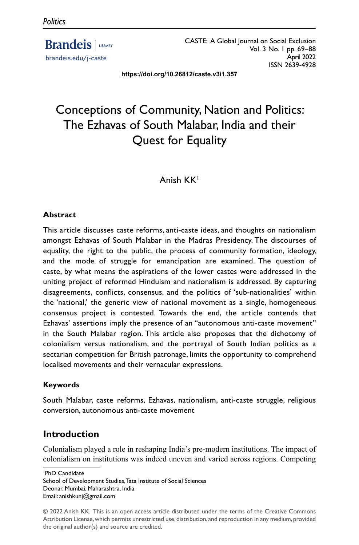**Brandeis** | LIBRARY brandeis.edu/j-caste

CASTE: A Global Journal on Social Exclusion Vol. 3 No. 1 pp. 69–88 April 2022 ISSN 2639-4928

**https://doi.org/10.26812/caste.v3i1.357**

# Conceptions of Community, Nation and Politics: The Ezhavas of South Malabar, India and their Quest for Equality

# Anish KK1

## **Abstract**

This article discusses caste reforms, anti-caste ideas, and thoughts on nationalism amongst Ezhavas of South Malabar in the Madras Presidency. The discourses of equality, the right to the public, the process of community formation, ideology, and the mode of struggle for emancipation are examined. The question of caste, by what means the aspirations of the lower castes were addressed in the uniting project of reformed Hinduism and nationalism is addressed. By capturing disagreements, conflicts, consensus, and the politics of 'sub-nationalities' within the 'national,' the generic view of national movement as a single, homogeneous consensus project is contested. Towards the end, the article contends that Ezhavas' assertions imply the presence of an "autonomous anti-caste movement" in the South Malabar region. This article also proposes that the dichotomy of colonialism versus nationalism, and the portrayal of South Indian politics as a sectarian competition for British patronage, limits the opportunity to comprehend localised movements and their vernacular expressions.

#### **Keywords**

South Malabar, caste reforms, Ezhavas, nationalism, anti-caste struggle, religious conversion, autonomous anti-caste movement

# **Introduction**

Colonialism played a role in reshaping India's pre-modern institutions. The impact of colonialism on institutions was indeed uneven and varied across regions. Competing

1 PhD Candidate

School of Development Studies, Tata Institute of Social Sciences Deonar, Mumbai, Maharashtra, India Email: anishkunj@gmail.com

<sup>© 2022</sup> Anish KK. This is an open access article distributed under the terms of the Creative Commons Attribution License, which permits unrestricted use, distribution, and reproduction in any medium, provided the original author(s) and source are credited.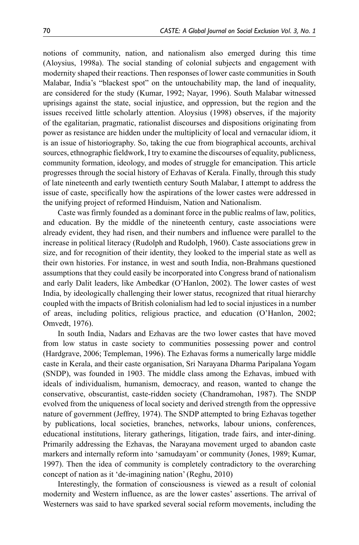notions of community, nation, and nationalism also emerged during this time (Aloysius, 1998a). The social standing of colonial subjects and engagement with modernity shaped their reactions. Then responses of lower caste communities in South Malabar, India's "blackest spot" on the untouchability map, the land of inequality, are considered for the study (Kumar, 1992; Nayar, 1996). South Malabar witnessed uprisings against the state, social injustice, and oppression, but the region and the issues received little scholarly attention. Aloysius (1998) observes, if the majority of the egalitarian, pragmatic, rationalist discourses and dispositions originating from power as resistance are hidden under the multiplicity of local and vernacular idiom, it is an issue of historiography. So, taking the cue from biographical accounts, archival sources, ethnographic fieldwork, I try to examine the discourses of equality, publicness, community formation, ideology, and modes of struggle for emancipation. This article progresses through the social history of Ezhavas of Kerala. Finally, through this study of late nineteenth and early twentieth century South Malabar, I attempt to address the issue of caste, specifically how the aspirations of the lower castes were addressed in the unifying project of reformed Hinduism, Nation and Nationalism.

Caste was firmly founded as a dominant force in the public realms of law, politics, and education. By the middle of the nineteenth century, caste associations were already evident, they had risen, and their numbers and influence were parallel to the increase in political literacy (Rudolph and Rudolph, 1960). Caste associations grew in size, and for recognition of their identity, they looked to the imperial state as well as their own histories. For instance, in west and south India, non-Brahmans questioned assumptions that they could easily be incorporated into Congress brand of nationalism and early Dalit leaders, like Ambedkar (O'Hanlon, 2002). The lower castes of west India, by ideologically challenging their lower status, recognized that ritual hierarchy coupled with the impacts of British colonialism had led to social injustices in a number of areas, including politics, religious practice, and education (O'Hanlon, 2002; Omvedt, 1976).

In south India, Nadars and Ezhavas are the two lower castes that have moved from low status in caste society to communities possessing power and control (Hardgrave, 2006; Templeman, 1996). The Ezhavas forms a numerically large middle caste in Kerala, and their caste organisation, Sri Narayana Dharma Paripalana Yogam (SNDP), was founded in 1903. The middle class among the Ezhavas, imbued with ideals of individualism, humanism, democracy, and reason, wanted to change the conservative, obscurantist, caste-ridden society (Chandramohan, 1987). The SNDP evolved from the uniqueness of local society and derived strength from the oppressive nature of government (Jeffrey, 1974). The SNDP attempted to bring Ezhavas together by publications, local societies, branches, networks, labour unions, conferences, educational institutions, literary gatherings, litigation, trade fairs, and inter-dining. Primarily addressing the Ezhavas, the Narayana movement urged to abandon caste markers and internally reform into 'samudayam' or community (Jones, 1989; Kumar, 1997). Then the idea of community is completely contradictory to the overarching concept of nation as it 'de-imagining nation' (Reghu, 2010)

Interestingly, the formation of consciousness is viewed as a result of colonial modernity and Western influence, as are the lower castes' assertions. The arrival of Westerners was said to have sparked several social reform movements, including the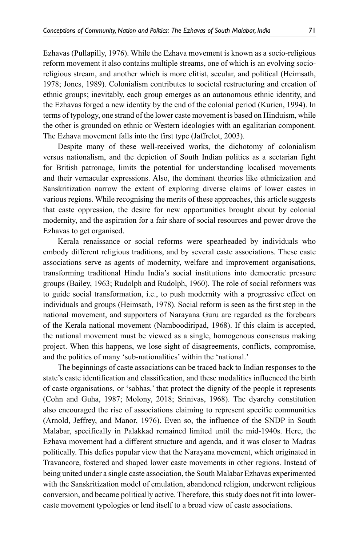Ezhavas (Pullapilly, 1976). While the Ezhava movement is known as a socio-religious reform movement it also contains multiple streams, one of which is an evolving socioreligious stream, and another which is more elitist, secular, and political (Heimsath, 1978; Jones, 1989). Colonialism contributes to societal restructuring and creation of ethnic groups; inevitably, each group emerges as an autonomous ethnic identity, and the Ezhavas forged a new identity by the end of the colonial period (Kurien, 1994). In terms of typology, one strand of the lower caste movement is based on Hinduism, while the other is grounded on ethnic or Western ideologies with an egalitarian component. The Ezhava movement falls into the first type (Jaffrelot, 2003).

Despite many of these well-received works, the dichotomy of colonialism versus nationalism, and the depiction of South Indian politics as a sectarian fight for British patronage, limits the potential for understanding localised movements and their vernacular expressions. Also, the dominant theories like ethnicization and Sanskritization narrow the extent of exploring diverse claims of lower castes in various regions. While recognising the merits of these approaches, this article suggests that caste oppression, the desire for new opportunities brought about by colonial modernity, and the aspiration for a fair share of social resources and power drove the Ezhavas to get organised.

Kerala renaissance or social reforms were spearheaded by individuals who embody different religious traditions, and by several caste associations. These caste associations serve as agents of modernity, welfare and improvement organisations, transforming traditional Hindu India's social institutions into democratic pressure groups (Bailey, 1963; Rudolph and Rudolph, 1960). The role of social reformers was to guide social transformation, i.e., to push modernity with a progressive effect on individuals and groups (Heimsath, 1978). Social reform is seen as the first step in the national movement, and supporters of Narayana Guru are regarded as the forebears of the Kerala national movement (Namboodiripad, 1968). If this claim is accepted, the national movement must be viewed as a single, homogenous consensus making project. When this happens, we lose sight of disagreements, conflicts, compromise, and the politics of many 'sub-nationalities' within the 'national.'

The beginnings of caste associations can be traced back to Indian responses to the state's caste identification and classification, and these modalities influenced the birth of caste organisations, or 'sabhas,' that protect the dignity of the people it represents (Cohn and Guha, 1987; Molony, 2018; Srinivas, 1968). The dyarchy constitution also encouraged the rise of associations claiming to represent specific communities (Arnold, Jeffrey, and Manor, 1976). Even so, the influence of the SNDP in South Malabar, specifically in Palakkad remained limited until the mid-1940s. Here, the Ezhava movement had a different structure and agenda, and it was closer to Madras politically. This defies popular view that the Narayana movement, which originated in Travancore, fostered and shaped lower caste movements in other regions. Instead of being united under a single caste association, the South Malabar Ezhavas experimented with the Sanskritization model of emulation, abandoned religion, underwent religious conversion, and became politically active. Therefore, this study does not fit into lowercaste movement typologies or lend itself to a broad view of caste associations.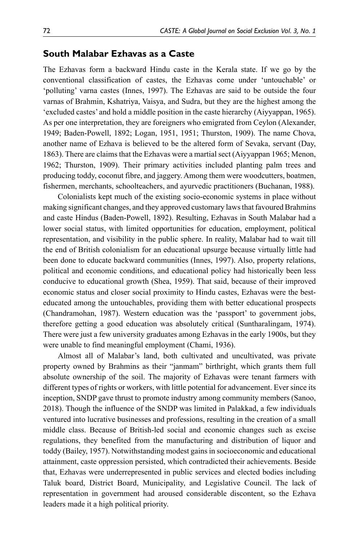#### **South Malabar Ezhavas as a Caste**

The Ezhavas form a backward Hindu caste in the Kerala state. If we go by the conventional classification of castes, the Ezhavas come under 'untouchable' or 'polluting' varna castes (Innes, 1997). The Ezhavas are said to be outside the four varnas of Brahmin, Kshatriya, Vaisya, and Sudra, but they are the highest among the 'excluded castes' and hold a middle position in the caste hierarchy (Aiyyappan, 1965). As per one interpretation, they are foreigners who emigrated from Ceylon (Alexander, 1949; Baden-Powell, 1892; Logan, 1951, 1951; Thurston, 1909). The name Chova, another name of Ezhava is believed to be the altered form of Sevaka, servant (Day, 1863). There are claims that the Ezhavas were a martial sect (Aiyyappan 1965; Menon, 1962; Thurston, 1909). Their primary activities included planting palm trees and producing toddy, coconut fibre, and jaggery. Among them were woodcutters, boatmen, fishermen, merchants, schoolteachers, and ayurvedic practitioners (Buchanan, 1988).

Colonialists kept much of the existing socio-economic systems in place without making significant changes, and they approved customary laws that favoured Brahmins and caste Hindus (Baden-Powell, 1892). Resulting, Ezhavas in South Malabar had a lower social status, with limited opportunities for education, employment, political representation, and visibility in the public sphere. In reality, Malabar had to wait till the end of British colonialism for an educational upsurge because virtually little had been done to educate backward communities (Innes, 1997). Also, property relations, political and economic conditions, and educational policy had historically been less conducive to educational growth (Shea, 1959). That said, because of their improved economic status and closer social proximity to Hindu castes, Ezhavas were the besteducated among the untouchables, providing them with better educational prospects (Chandramohan, 1987). Western education was the 'passport' to government jobs, therefore getting a good education was absolutely critical (Suntharalingam, 1974). There were just a few university graduates among Ezhavas in the early 1900s, but they were unable to find meaningful employment (Chami, 1936).

Almost all of Malabar's land, both cultivated and uncultivated, was private property owned by Brahmins as their "janmam" birthright, which grants them full absolute ownership of the soil. The majority of Ezhavas were tenant farmers with different types of rights or workers, with little potential for advancement. Ever since its inception, SNDP gave thrust to promote industry among community members (Sanoo, 2018). Though the influence of the SNDP was limited in Palakkad, a few individuals ventured into lucrative businesses and professions, resulting in the creation of a small middle class. Because of British-led social and economic changes such as excise regulations, they benefited from the manufacturing and distribution of liquor and toddy (Bailey, 1957). Notwithstanding modest gains in socioeconomic and educational attainment, caste oppression persisted, which contradicted their achievements. Beside that, Ezhavas were underrepresented in public services and elected bodies including Taluk board, District Board, Municipality, and Legislative Council. The lack of representation in government had aroused considerable discontent, so the Ezhava leaders made it a high political priority.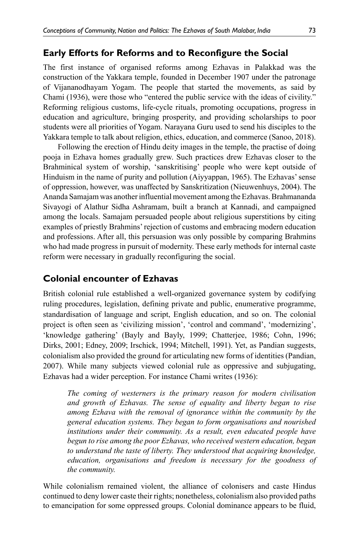## **Early Efforts for Reforms and to Reconfigure the Social**

The first instance of organised reforms among Ezhavas in Palakkad was the construction of the Yakkara temple, founded in December 1907 under the patronage of Vijananodhayam Yogam. The people that started the movements, as said by Chami (1936), were those who "entered the public service with the ideas of civility." Reforming religious customs, life-cycle rituals, promoting occupations, progress in education and agriculture, bringing prosperity, and providing scholarships to poor students were all priorities of Yogam. Narayana Guru used to send his disciples to the Yakkara temple to talk about religion, ethics, education, and commerce (Sanoo, 2018).

Following the erection of Hindu deity images in the temple, the practise of doing pooja in Ezhava homes gradually grew. Such practices drew Ezhavas closer to the Brahminical system of worship, 'sanskritising' people who were kept outside of Hinduism in the name of purity and pollution (Aiyyappan, 1965). The Ezhavas' sense of oppression, however, was unaffected by Sanskritization (Nieuwenhuys, 2004). The Ananda Samajam was another influential movement among the Ezhavas. Brahmananda Sivayogi of Alathur Sidha Ashramam, built a branch at Kannadi, and campaigned among the locals. Samajam persuaded people about religious superstitions by citing examples of priestly Brahmins' rejection of customs and embracing modern education and professions. After all, this persuasion was only possible by comparing Brahmins who had made progress in pursuit of modernity. These early methods for internal caste reform were necessary in gradually reconfiguring the social.

# **Colonial encounter of Ezhavas**

British colonial rule established a well-organized governance system by codifying ruling procedures, legislation, defining private and public, enumerative programme, standardisation of language and script, English education, and so on. The colonial project is often seen as 'civilizing mission', 'control and command', 'modernizing', 'knowledge gathering' (Bayly and Bayly, 1999; Chatterjee, 1986; Cohn, 1996; Dirks, 2001; Edney, 2009; Irschick, 1994; Mitchell, 1991). Yet, as Pandian suggests, colonialism also provided the ground for articulating new forms of identities (Pandian, 2007). While many subjects viewed colonial rule as oppressive and subjugating, Ezhavas had a wider perception. For instance Chami writes (1936):

*The coming of westerners is the primary reason for modern civilisation and growth of Ezhavas. The sense of equality and liberty began to rise among Ezhava with the removal of ignorance within the community by the general education systems. They began to form organisations and nourished institutions under their community. As a result, even educated people have begun to rise among the poor Ezhavas, who received western education, began to understand the taste of liberty. They understood that acquiring knowledge, education, organisations and freedom is necessary for the goodness of the community.* 

While colonialism remained violent, the alliance of colonisers and caste Hindus continued to deny lower caste their rights; nonetheless, colonialism also provided paths to emancipation for some oppressed groups. Colonial dominance appears to be fluid,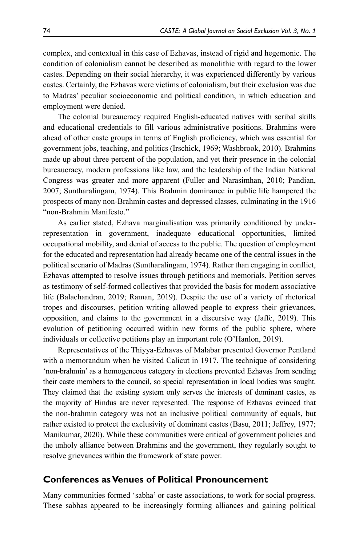complex, and contextual in this case of Ezhavas, instead of rigid and hegemonic. The condition of colonialism cannot be described as monolithic with regard to the lower castes. Depending on their social hierarchy, it was experienced differently by various castes. Certainly, the Ezhavas were victims of colonialism, but their exclusion was due to Madras' peculiar socioeconomic and political condition, in which education and employment were denied.

The colonial bureaucracy required English-educated natives with scribal skills and educational credentials to fill various administrative positions. Brahmins were ahead of other caste groups in terms of English proficiency, which was essential for government jobs, teaching, and politics (Irschick, 1969; Washbrook, 2010). Brahmins made up about three percent of the population, and yet their presence in the colonial bureaucracy, modern professions like law, and the leadership of the Indian National Congress was greater and more apparent (Fuller and Narasimhan, 2010; Pandian, 2007; Suntharalingam, 1974). This Brahmin dominance in public life hampered the prospects of many non-Brahmin castes and depressed classes, culminating in the 1916 "non-Brahmin Manifesto."

As earlier stated, Ezhava marginalisation was primarily conditioned by underrepresentation in government, inadequate educational opportunities, limited occupational mobility, and denial of access to the public. The question of employment for the educated and representation had already became one of the central issues in the political scenario of Madras (Suntharalingam, 1974). Rather than engaging in conflict, Ezhavas attempted to resolve issues through petitions and memorials. Petition serves as testimony of self-formed collectives that provided the basis for modern associative life (Balachandran, 2019; Raman, 2019). Despite the use of a variety of rhetorical tropes and discourses, petition writing allowed people to express their grievances, opposition, and claims to the government in a discursive way (Jaffe, 2019). This evolution of petitioning occurred within new forms of the public sphere, where individuals or collective petitions play an important role (O'Hanlon, 2019).

Representatives of the Thiyya-Ezhavas of Malabar presented Governor Pentland with a memorandum when he visited Calicut in 1917. The technique of considering 'non-brahmin' as a homogeneous category in elections prevented Ezhavas from sending their caste members to the council, so special representation in local bodies was sought. They claimed that the existing system only serves the interests of dominant castes, as the majority of Hindus are never represented. The response of Ezhavas evinced that the non-brahmin category was not an inclusive political community of equals, but rather existed to protect the exclusivity of dominant castes (Basu, 2011; Jeffrey, 1977; Manikumar, 2020). While these communities were critical of government policies and the unholy alliance between Brahmins and the government, they regularly sought to resolve grievances within the framework of state power.

#### **Conferences as Venues of Political Pronouncement**

Many communities formed 'sabha' or caste associations, to work for social progress. These sabhas appeared to be increasingly forming alliances and gaining political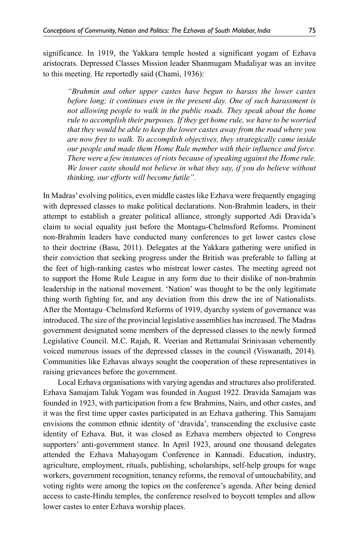significance. In 1919, the Yakkara temple hosted a significant yogam of Ezhava aristocrats. Depressed Classes Mission leader Shanmugam Mudaliyar was an invitee to this meeting. He reportedly said (Chami, 1936):

*"Brahmin and other upper castes have begun to harass the lower castes before long; it continues even in the present day. One of such harassment is not allowing people to walk in the public roads. They speak about the home rule to accomplish their purposes. If they get home rule, we have to be worried that they would be able to keep the lower castes away from the road where you are now free to walk. To accomplish objectives, they strategically came inside our people and made them Home Rule member with their influence and force. There were a few instances of riots because of speaking against the Home rule. We lower caste should not believe in what they say, if you do believe without thinking, our efforts will become futile".* 

In Madras' evolving politics, even middle castes like Ezhava were frequently engaging with depressed classes to make political declarations. Non-Brahmin leaders, in their attempt to establish a greater political alliance, strongly supported Adi Dravida's claim to social equality just before the Montagu-Chelmsford Reforms. Prominent non-Brahmin leaders have conducted many conferences to get lower castes close to their doctrine (Basu, 2011). Delegates at the Yakkara gathering were unified in their conviction that seeking progress under the British was preferable to falling at the feet of high-ranking castes who mistreat lower castes. The meeting agreed not to support the Home Rule League in any form due to their dislike of non-brahmin leadership in the national movement. 'Nation' was thought to be the only legitimate thing worth fighting for, and any deviation from this drew the ire of Nationalists. After the Montagu–Chelmsford Reforms of 1919, dyarchy system of governance was introduced. The size of the provincial legislative assemblies has increased. The Madras government designated some members of the depressed classes to the newly formed Legislative Council. M.C. Rajah, R. Veerian and Rettamalai Srinivasan vehemently voiced numerous issues of the depressed classes in the council (Viswanath, 2014). Communities like Ezhavas always sought the cooperation of these representatives in raising grievances before the government.

Local Ezhava organisations with varying agendas and structures also proliferated. Ezhava Samajam Taluk Yogam was founded in August 1922. Dravida Samajam was founded in 1923, with participation from a few Brahmins, Nairs, and other castes, and it was the first time upper castes participated in an Ezhava gathering. This Samajam envisions the common ethnic identity of 'dravida', transcending the exclusive caste identity of Ezhava. But, it was closed as Ezhava members objected to Congress supporters' anti-government stance. In April 1923, around one thousand delegates attended the Ezhava Mahayogam Conference in Kannadi. Education, industry, agriculture, employment, rituals, publishing, scholarships, self-help groups for wage workers, government recognition, tenancy reforms, the removal of untouchability, and voting rights were among the topics on the conference's agenda. After being denied access to caste-Hindu temples, the conference resolved to boycott temples and allow lower castes to enter Ezhava worship places.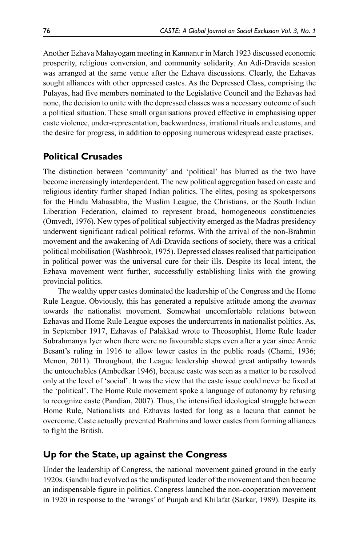Another Ezhava Mahayogam meeting in Kannanur in March 1923 discussed economic prosperity, religious conversion, and community solidarity. An Adi-Dravida session was arranged at the same venue after the Ezhava discussions. Clearly, the Ezhavas sought alliances with other oppressed castes. As the Depressed Class, comprising the Pulayas, had five members nominated to the Legislative Council and the Ezhavas had none, the decision to unite with the depressed classes was a necessary outcome of such a political situation. These small organisations proved effective in emphasising upper caste violence, under-representation, backwardness, irrational rituals and customs, and the desire for progress, in addition to opposing numerous widespread caste practises.

# **Political Crusades**

The distinction between 'community' and 'political' has blurred as the two have become increasingly interdependent. The new political aggregation based on caste and religious identity further shaped Indian politics. The elites, posing as spokespersons for the Hindu Mahasabha, the Muslim League, the Christians, or the South Indian Liberation Federation, claimed to represent broad, homogeneous constituencies (Omvedt, 1976). New types of political subjectivity emerged as the Madras presidency underwent significant radical political reforms. With the arrival of the non-Brahmin movement and the awakening of Adi-Dravida sections of society, there was a critical political mobilisation (Washbrook, 1975). Depressed classes realised that participation in political power was the universal cure for their ills. Despite its local intent, the Ezhava movement went further, successfully establishing links with the growing provincial politics.

The wealthy upper castes dominated the leadership of the Congress and the Home Rule League. Obviously, this has generated a repulsive attitude among the *avarnas* towards the nationalist movement. Somewhat uncomfortable relations between Ezhavas and Home Rule League exposes the undercurrents in nationalist politics. As, in September 1917, Ezhavas of Palakkad wrote to Theosophist, Home Rule leader Subrahmanya Iyer when there were no favourable steps even after a year since Annie Besant's ruling in 1916 to allow lower castes in the public roads (Chami, 1936; Menon, 2011). Throughout, the League leadership showed great antipathy towards the untouchables (Ambedkar 1946), because caste was seen as a matter to be resolved only at the level of 'social'. It was the view that the caste issue could never be fixed at the 'political'. The Home Rule movement spoke a language of autonomy by refusing to recognize caste (Pandian, 2007). Thus, the intensified ideological struggle between Home Rule, Nationalists and Ezhavas lasted for long as a lacuna that cannot be overcome. Caste actually prevented Brahmins and lower castes from forming alliances to fight the British.

# **Up for the State, up against the Congress**

Under the leadership of Congress, the national movement gained ground in the early 1920s. Gandhi had evolved as the undisputed leader of the movement and then became an indispensable figure in politics. Congress launched the non-cooperation movement in 1920 in response to the 'wrongs' of Punjab and Khilafat (Sarkar, 1989). Despite its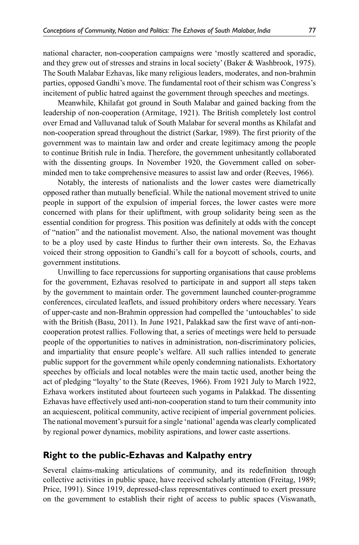national character, non-cooperation campaigns were 'mostly scattered and sporadic, and they grew out of stresses and strains in local society' (Baker & Washbrook, 1975). The South Malabar Ezhavas, like many religious leaders, moderates, and non-brahmin parties, opposed Gandhi's move. The fundamental root of their schism was Congress's incitement of public hatred against the government through speeches and meetings.

Meanwhile, Khilafat got ground in South Malabar and gained backing from the leadership of non-cooperation (Armitage, 1921). The British completely lost control over Ernad and Valluvanad taluk of South Malabar for several months as Khilafat and non-cooperation spread throughout the district (Sarkar, 1989). The first priority of the government was to maintain law and order and create legitimacy among the people to continue British rule in India. Therefore, the government unhesitantly collaborated with the dissenting groups. In November 1920, the Government called on soberminded men to take comprehensive measures to assist law and order (Reeves, 1966).

Notably, the interests of nationalists and the lower castes were diametrically opposed rather than mutually beneficial. While the national movement strived to unite people in support of the expulsion of imperial forces, the lower castes were more concerned with plans for their upliftment, with group solidarity being seen as the essential condition for progress. This position was definitely at odds with the concept of "nation" and the nationalist movement. Also, the national movement was thought to be a ploy used by caste Hindus to further their own interests. So, the Ezhavas voiced their strong opposition to Gandhi's call for a boycott of schools, courts, and government institutions.

Unwilling to face repercussions for supporting organisations that cause problems for the government, Ezhavas resolved to participate in and support all steps taken by the government to maintain order. The government launched counter-programme conferences, circulated leaflets, and issued prohibitory orders where necessary. Years of upper-caste and non-Brahmin oppression had compelled the 'untouchables' to side with the British (Basu, 2011). In June 1921, Palakkad saw the first wave of anti-noncooperation protest rallies. Following that, a series of meetings were held to persuade people of the opportunities to natives in administration, non-discriminatory policies, and impartiality that ensure people's welfare. All such rallies intended to generate public support for the government while openly condemning nationalists. Exhortatory speeches by officials and local notables were the main tactic used, another being the act of pledging "loyalty' to the State (Reeves, 1966). From 1921 July to March 1922, Ezhava workers instituted about fourteeen such yogams in Palakkad. The dissenting Ezhavas have effectively used anti-non-cooperation stand to turn their community into an acquiescent, political community, active recipient of imperial government policies. The national movement's pursuit for a single 'national' agenda was clearly complicated by regional power dynamics, mobility aspirations, and lower caste assertions.

## **Right to the public-Ezhavas and Kalpathy entry**

Several claims-making articulations of community, and its redefinition through collective activities in public space, have received scholarly attention (Freitag, 1989; Price, 1991). Since 1919, depressed-class representatives continued to exert pressure on the government to establish their right of access to public spaces (Viswanath,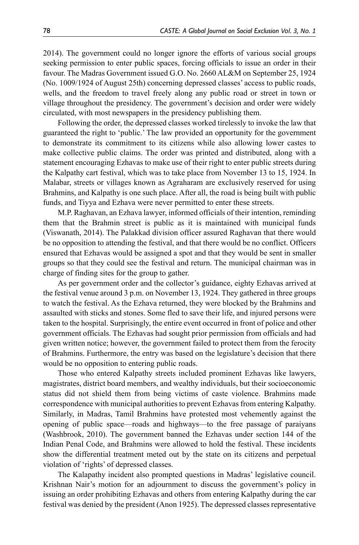2014). The government could no longer ignore the efforts of various social groups seeking permission to enter public spaces, forcing officials to issue an order in their favour. The Madras Government issued G.O. No. 2660 AL&M on September 25, 1924 (No. 1009/1924 of August 25th) concerning depressed classes' access to public roads, wells, and the freedom to travel freely along any public road or street in town or village throughout the presidency. The government's decision and order were widely circulated, with most newspapers in the presidency publishing them.

Following the order, the depressed classes worked tirelessly to invoke the law that guaranteed the right to 'public.' The law provided an opportunity for the government to demonstrate its commitment to its citizens while also allowing lower castes to make collective public claims. The order was printed and distributed, along with a statement encouraging Ezhavas to make use of their right to enter public streets during the Kalpathy cart festival, which was to take place from November 13 to 15, 1924. In Malabar, streets or villages known as Agraharam are exclusively reserved for using Brahmins, and Kalpathy is one such place. After all, the road is being built with public funds, and Tiyya and Ezhava were never permitted to enter these streets.

M.P. Raghavan, an Ezhava lawyer, informed officials of their intention, reminding them that the Brahmin street is public as it is maintained with municipal funds (Viswanath, 2014). The Palakkad division officer assured Raghavan that there would be no opposition to attending the festival, and that there would be no conflict. Officers ensured that Ezhavas would be assigned a spot and that they would be sent in smaller groups so that they could see the festival and return. The municipal chairman was in charge of finding sites for the group to gather.

As per government order and the collector's guidance, eighty Ezhavas arrived at the festival venue around 3 p.m. on November 13, 1924. They gathered in three groups to watch the festival. As the Ezhava returned, they were blocked by the Brahmins and assaulted with sticks and stones. Some fled to save their life, and injured persons were taken to the hospital. Surprisingly, the entire event occurred in front of police and other government officials. The Ezhavas had sought prior permission from officials and had given written notice; however, the government failed to protect them from the ferocity of Brahmins. Furthermore, the entry was based on the legislature's decision that there would be no opposition to entering public roads.

Those who entered Kalpathy streets included prominent Ezhavas like lawyers, magistrates, district board members, and wealthy individuals, but their socioeconomic status did not shield them from being victims of caste violence. Brahmins made correspondence with municipal authorities to prevent Ezhavas from entering Kalpathy. Similarly, in Madras, Tamil Brahmins have protested most vehemently against the opening of public space—roads and highways—to the free passage of paraiyans (Washbrook, 2010). The government banned the Ezhavas under section 144 of the Indian Penal Code, and Brahmins were allowed to hold the festival. These incidents show the differential treatment meted out by the state on its citizens and perpetual violation of 'rights' of depressed classes.

The Kalapathy incident also prompted questions in Madras' legislative council. Krishnan Nair's motion for an adjournment to discuss the government's policy in issuing an order prohibiting Ezhavas and others from entering Kalpathy during the car festival was denied by the president (Anon 1925). The depressed classes representative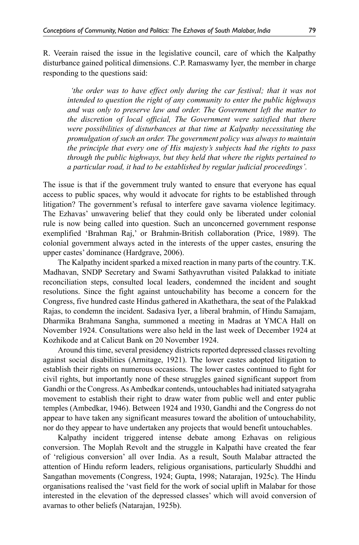R. Veerain raised the issue in the legislative council, care of which the Kalpathy disturbance gained political dimensions. C.P. Ramaswamy Iyer, the member in charge responding to the questions said:

*the order was to have effect only during the car festival; that it was not intended to question the right of any community to enter the public highways and was only to preserve law and order. The Government left the matter to the discretion of local official, The Government were satisfied that there were possibilities of disturbances at that time at Kalpathy necessitating the promulgation of such an order. The government policy was always to maintain the principle that every one of His majesty's subjects had the rights to pass through the public highways, but they held that where the rights pertained to a particular road, it had to be established by regular judicial proceedings'.*

The issue is that if the government truly wanted to ensure that everyone has equal access to public spaces, why would it advocate for rights to be established through litigation? The government's refusal to interfere gave savarna violence legitimacy. The Ezhavas' unwavering belief that they could only be liberated under colonial rule is now being called into question. Such an unconcerned government response exemplified 'Brahman Raj,' or Brahmin-British collaboration (Price, 1989). The colonial government always acted in the interests of the upper castes, ensuring the upper castes' dominance (Hardgrave, 2006).

The Kalpathy incident sparked a mixed reaction in many parts of the country. T.K. Madhavan, SNDP Secretary and Swami Sathyavruthan visited Palakkad to initiate reconciliation steps, consulted local leaders, condemned the incident and sought resolutions. Since the fight against untouchability has become a concern for the Congress, five hundred caste Hindus gathered in Akathethara, the seat of the Palakkad Rajas, to condemn the incident. Sadasiva Iyer, a liberal brahmin, of Hindu Samajam, Dharmika Brahmana Sangha, summoned a meeting in Madras at YMCA Hall on November 1924. Consultations were also held in the last week of December 1924 at Kozhikode and at Calicut Bank on 20 November 1924.

Around this time, several presidency districts reported depressed classes revolting against social disabilities (Armitage, 1921). The lower castes adopted litigation to establish their rights on numerous occasions. The lower castes continued to fight for civil rights, but importantly none of these struggles gained significant support from Gandhi or the Congress. As Ambedkar contends, untouchables had initiated satyagraha movement to establish their right to draw water from public well and enter public temples (Ambedkar, 1946). Between 1924 and 1930, Gandhi and the Congress do not appear to have taken any significant measures toward the abolition of untouchability, nor do they appear to have undertaken any projects that would benefit untouchables.

Kalpathy incident triggered intense debate among Ezhavas on religious conversion. The Moplah Revolt and the struggle in Kalpathi have created the fear of 'religious conversion' all over India. As a result, South Malabar attracted the attention of Hindu reform leaders, religious organisations, particularly Shuddhi and Sangathan movements (Congress, 1924; Gupta, 1998; Natarajan, 1925c). The Hindu organisations realised the 'vast field for the work of social uplift in Malabar for those interested in the elevation of the depressed classes' which will avoid conversion of avarnas to other beliefs (Natarajan, 1925b).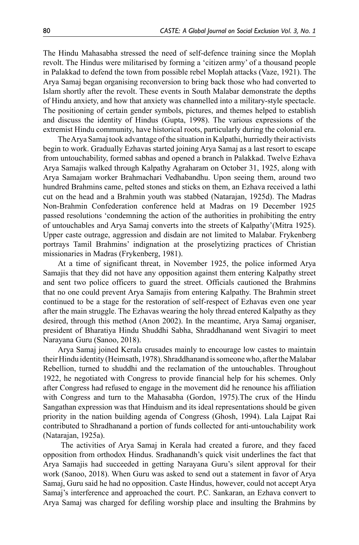The Hindu Mahasabha stressed the need of self-defence training since the Moplah revolt. The Hindus were militarised by forming a 'citizen army' of a thousand people in Palakkad to defend the town from possible rebel Moplah attacks (Vaze, 1921). The Arya Samaj began organising reconversion to bring back those who had converted to Islam shortly after the revolt. These events in South Malabar demonstrate the depths of Hindu anxiety, and how that anxiety was channelled into a military-style spectacle. The positioning of certain gender symbols, pictures, and themes helped to establish and discuss the identity of Hindus (Gupta, 1998). The various expressions of the extremist Hindu community, have historical roots, particularly during the colonial era.

The Arya Samaj took advantage of the situation in Kalpathi, hurriedly their activists begin to work. Gradually Ezhavas started joining Arya Samaj as a last resort to escape from untouchability, formed sabhas and opened a branch in Palakkad. Twelve Ezhava Arya Samajis walked through Kalpathy Agraharam on October 31, 1925, along with Arya Samajam worker Brahmachari Vedhabandhu. Upon seeing them, around two hundred Brahmins came, pelted stones and sticks on them, an Ezhava received a lathi cut on the head and a Brahmin youth was stabbed (Natarajan, 1925d). The Madras Non-Brahmin Confederation conference held at Madras on 19 December 1925 passed resolutions 'condemning the action of the authorities in prohibiting the entry of untouchables and Arya Samaj converts into the streets of Kalpathy'(Mitra 1925). Upper caste outrage, aggression and disdain are not limited to Malabar. Frykenberg portrays Tamil Brahmins' indignation at the proselytizing practices of Christian missionaries in Madras (Frykenberg, 1981).

At a time of significant threat, in November 1925, the police informed Arya Samajis that they did not have any opposition against them entering Kalpathy street and sent two police officers to guard the street. Officials cautioned the Brahmins that no one could prevent Arya Samajis from entering Kalpathy. The Brahmin street continued to be a stage for the restoration of self-respect of Ezhavas even one year after the main struggle. The Ezhavas wearing the holy thread entered Kalpathy as they desired, through this method (Anon 2002). In the meantime, Arya Samaj organiser, president of Bharatiya Hindu Shuddhi Sabha, Shraddhanand went Sivagiri to meet Narayana Guru (Sanoo, 2018).

Arya Samaj joined Kerala crusades mainly to encourage low castes to maintain their Hindu identity (Heimsath, 1978). Shraddhanand is someone who, after the Malabar Rebellion, turned to shuddhi and the reclamation of the untouchables. Throughout 1922, he negotiated with Congress to provide financial help for his schemes. Only after Congress had refused to engage in the movement did he renounce his affiliation with Congress and turn to the Mahasabha (Gordon, 1975).The crux of the Hindu Sangathan expression was that Hinduism and its ideal representations should be given priority in the nation building agenda of Congress (Ghosh, 1994). Lala Lajpat Rai contributed to Shradhanand a portion of funds collected for anti-untouchability work (Natarajan, 1925a).

 The activities of Arya Samaj in Kerala had created a furore, and they faced opposition from orthodox Hindus. Sradhanandh's quick visit underlines the fact that Arya Samajis had succeeded in getting Narayana Guru's silent approval for their work (Sanoo, 2018). When Guru was asked to send out a statement in favor of Arya Samaj, Guru said he had no opposition. Caste Hindus, however, could not accept Arya Samaj's interference and approached the court. P.C. Sankaran, an Ezhava convert to Arya Samaj was charged for defiling worship place and insulting the Brahmins by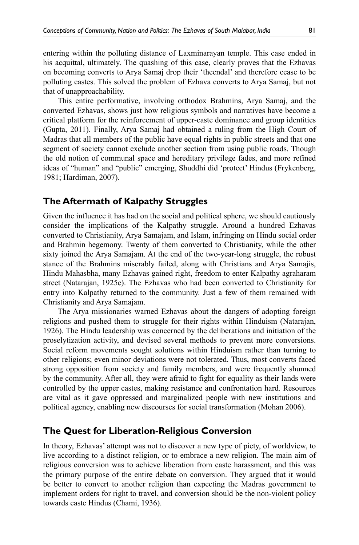entering within the polluting distance of Laxminarayan temple. This case ended in his acquittal, ultimately. The quashing of this case, clearly proves that the Ezhavas on becoming converts to Arya Samaj drop their 'theendal' and therefore cease to be polluting castes. This solved the problem of Ezhava converts to Arya Samaj, but not that of unapproachability.

This entire performative, involving orthodox Brahmins, Arya Samaj, and the converted Ezhavas, shows just how religious symbols and narratives have become a critical platform for the reinforcement of upper-caste dominance and group identities (Gupta, 2011). Finally, Arya Samaj had obtained a ruling from the High Court of Madras that all members of the public have equal rights in public streets and that one segment of society cannot exclude another section from using public roads. Though the old notion of communal space and hereditary privilege fades, and more refined ideas of "human" and "public" emerging, Shuddhi did 'protect' Hindus (Frykenberg, 1981; Hardiman, 2007).

# **The Aftermath of Kalpathy Struggles**

Given the influence it has had on the social and political sphere, we should cautiously consider the implications of the Kalpathy struggle. Around a hundred Ezhavas converted to Christianity, Arya Samajam, and Islam, infringing on Hindu social order and Brahmin hegemony. Twenty of them converted to Christianity, while the other sixty joined the Arya Samajam. At the end of the two-year-long struggle, the robust stance of the Brahmins miserably failed, along with Christians and Arya Samajis, Hindu Mahasbha, many Ezhavas gained right, freedom to enter Kalpathy agraharam street (Natarajan, 1925e). The Ezhavas who had been converted to Christianity for entry into Kalpathy returned to the community. Just a few of them remained with Christianity and Arya Samajam.

The Arya missionaries warned Ezhavas about the dangers of adopting foreign religions and pushed them to struggle for their rights within Hinduism (Natarajan, 1926). The Hindu leadership was concerned by the deliberations and initiation of the proselytization activity, and devised several methods to prevent more conversions. Social reform movements sought solutions within Hinduism rather than turning to other religions; even minor deviations were not tolerated. Thus, most converts faced strong opposition from society and family members, and were frequently shunned by the community. After all, they were afraid to fight for equality as their lands were controlled by the upper castes, making resistance and confrontation hard. Resources are vital as it gave oppressed and marginalized people with new institutions and political agency, enabling new discourses for social transformation (Mohan 2006).

#### **The Quest for Liberation-Religious Conversion**

In theory, Ezhavas' attempt was not to discover a new type of piety, of worldview, to live according to a distinct religion, or to embrace a new religion. The main aim of religious conversion was to achieve liberation from caste harassment, and this was the primary purpose of the entire debate on conversion. They argued that it would be better to convert to another religion than expecting the Madras government to implement orders for right to travel, and conversion should be the non-violent policy towards caste Hindus (Chami, 1936).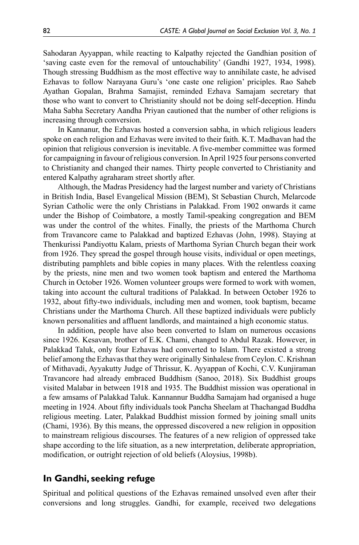Sahodaran Ayyappan, while reacting to Kalpathy rejected the Gandhian position of 'saving caste even for the removal of untouchability' (Gandhi 1927, 1934, 1998). Though stressing Buddhism as the most effective way to annihilate caste, he advised Ezhavas to follow Narayana Guru's 'one caste one religion' priciples. Rao Saheb Ayathan Gopalan, Brahma Samajist, reminded Ezhava Samajam secretary that those who want to convert to Christianity should not be doing self-deception. Hindu Maha Sabha Secretary Aandha Priyan cautioned that the number of other religions is increasing through conversion.

In Kannanur, the Ezhavas hosted a conversion sabha, in which religious leaders spoke on each religion and Ezhavas were invited to their faith. K.T. Madhavan had the opinion that religious conversion is inevitable. A five-member committee was formed for campaigning in favour of religious conversion. In April 1925 four persons converted to Christianity and changed their names. Thirty people converted to Christianity and entered Kalpathy agraharam street shortly after.

Although, the Madras Presidency had the largest number and variety of Christians in British India, Basel Evangelical Mission (BEM), St Sebastian Church, Melarcode Syrian Catholic were the only Christians in Palakkad. From 1902 onwards it came under the Bishop of Coimbatore, a mostly Tamil-speaking congregation and BEM was under the control of the whites. Finally, the priests of the Marthoma Church from Travancore came to Palakkad and baptized Ezhavas (John, 1998). Staying at Thenkurissi Pandiyottu Kalam, priests of Marthoma Syrian Church began their work from 1926. They spread the gospel through house visits, individual or open meetings, distributing pamphlets and bible copies in many places. With the relentless coaxing by the priests, nine men and two women took baptism and entered the Marthoma Church in October 1926. Women volunteer groups were formed to work with women, taking into account the cultural traditions of Palakkad. In between October 1926 to 1932, about fifty-two individuals, including men and women, took baptism, became Christians under the Marthoma Church. All these baptized individuals were publicly known personalities and affluent landlords, and maintained a high economic status.

In addition, people have also been converted to Islam on numerous occasions since 1926. Kesavan, brother of E.K. Chami, changed to Abdul Razak. However, in Palakkad Taluk, only four Ezhavas had converted to Islam. There existed a strong belief among the Ezhavas that they were originally Sinhalese from Ceylon. C. Krishnan of Mithavadi, Ayyakutty Judge of Thrissur, K. Ayyappan of Kochi, C.V. Kunjiraman Travancore had already embraced Buddhism (Sanoo, 2018). Six Buddhist groups visited Malabar in between 1918 and 1935. The Buddhist mission was operational in a few amsams of Palakkad Taluk. Kannannur Buddha Samajam had organised a huge meeting in 1924. About fifty individuals took Pancha Sheelam at Thachangad Buddha religious meeting. Later, Palakkad Buddhist mission formed by joining small units (Chami, 1936). By this means, the oppressed discovered a new religion in opposition to mainstream religious discourses. The features of a new religion of oppressed take shape according to the life situation, as a new interpretation, deliberate appropriation, modification, or outright rejection of old beliefs (Aloysius, 1998b).

# **In Gandhi, seeking refuge**

Spiritual and political questions of the Ezhavas remained unsolved even after their conversions and long struggles. Gandhi, for example, received two delegations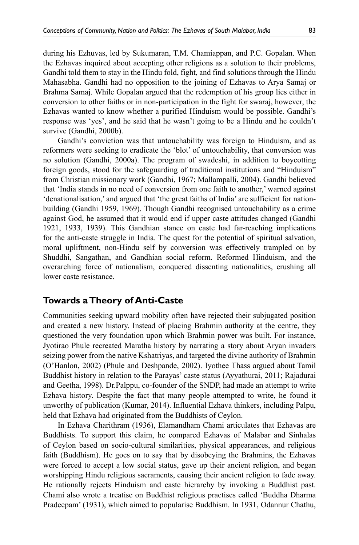during his Ezhuvas, led by Sukumaran, T.M. Chamiappan, and P.C. Gopalan. When the Ezhavas inquired about accepting other religions as a solution to their problems, Gandhi told them to stay in the Hindu fold, fight, and find solutions through the Hindu Mahasabha. Gandhi had no opposition to the joining of Ezhavas to Arya Samaj or Brahma Samaj. While Gopalan argued that the redemption of his group lies either in conversion to other faiths or in non-participation in the fight for swaraj, however, the Ezhavas wanted to know whether a purified Hinduism would be possible. Gandhi's response was 'yes', and he said that he wasn't going to be a Hindu and he couldn't survive (Gandhi, 2000b).

Gandhi's conviction was that untouchability was foreign to Hinduism, and as reformers were seeking to eradicate the 'blot' of untouchability, that conversion was no solution (Gandhi, 2000a). The program of swadeshi, in addition to boycotting foreign goods, stood for the safeguarding of traditional institutions and "Hinduism" from Christian missionary work (Gandhi, 1967; Mallampalli, 2004). Gandhi believed that 'India stands in no need of conversion from one faith to another,' warned against 'denationalisation,' and argued that 'the great faiths of India' are sufficient for nationbuilding (Gandhi 1959, 1969). Though Gandhi recognised untouchability as a crime against God, he assumed that it would end if upper caste attitudes changed (Gandhi 1921, 1933, 1939). This Gandhian stance on caste had far-reaching implications for the anti-caste struggle in India. The quest for the potential of spiritual salvation, moral upliftment, non-Hindu self by conversion was effectively trampled on by Shuddhi, Sangathan, and Gandhian social reform. Reformed Hinduism, and the overarching force of nationalism, conquered dissenting nationalities, crushing all lower caste resistance.

## **Towards a Theory of Anti-Caste**

Communities seeking upward mobility often have rejected their subjugated position and created a new history. Instead of placing Brahmin authority at the centre, they questioned the very foundation upon which Brahmin power was built. For instance, Jyotirao Phule recreated Maratha history by narrating a story about Aryan invaders seizing power from the native Kshatriyas, and targeted the divine authority of Brahmin (O'Hanlon, 2002) (Phule and Deshpande, 2002). Iyothee Thass argued about Tamil Buddhist history in relation to the Parayas' caste status (Ayyathurai, 2011; Rajadurai and Geetha, 1998). Dr.Palppu, co-founder of the SNDP, had made an attempt to write Ezhava history. Despite the fact that many people attempted to write, he found it unworthy of publication (Kumar, 2014). Influential Ezhava thinkers, including Palpu, held that Ezhava had originated from the Buddhists of Ceylon.

In Ezhava Charithram (1936), Elamandham Chami articulates that Ezhavas are Buddhists. To support this claim, he compared Ezhavas of Malabar and Sinhalas of Ceylon based on socio-cultural similarities, physical appearances, and religious faith (Buddhism). He goes on to say that by disobeying the Brahmins, the Ezhavas were forced to accept a low social status, gave up their ancient religion, and began worshipping Hindu religious sacraments, causing their ancient religion to fade away. He rationally rejects Hinduism and caste hierarchy by invoking a Buddhist past. Chami also wrote a treatise on Buddhist religious practises called 'Buddha Dharma Pradeepam' (1931), which aimed to popularise Buddhism. In 1931, Odannur Chathu,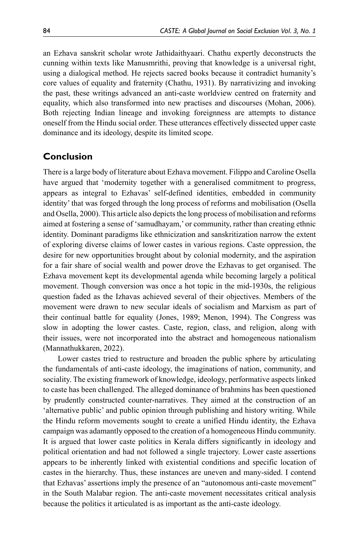an Ezhava sanskrit scholar wrote Jathidaithyaari. Chathu expertly deconstructs the cunning within texts like Manusmrithi, proving that knowledge is a universal right, using a dialogical method. He rejects sacred books because it contradict humanity's core values of equality and fraternity (Chathu, 1931). By narrativizing and invoking the past, these writings advanced an anti-caste worldview centred on fraternity and equality, which also transformed into new practises and discourses (Mohan, 2006). Both rejecting Indian lineage and invoking foreignness are attempts to distance oneself from the Hindu social order. These utterances effectively dissected upper caste dominance and its ideology, despite its limited scope.

# **Conclusion**

There is a large body of literature about Ezhava movement. Filippo and Caroline Osella have argued that 'modernity together with a generalised commitment to progress, appears as integral to Ezhavas' self-defined identities, embedded in community identity' that was forged through the long process of reforms and mobilisation (Osella and Osella, 2000). This article also depicts the long process of mobilisation and reforms aimed at fostering a sense of 'samudhayam,' or community, rather than creating ethnic identity. Dominant paradigms like ethnicization and sanskritization narrow the extent of exploring diverse claims of lower castes in various regions. Caste oppression, the desire for new opportunities brought about by colonial modernity, and the aspiration for a fair share of social wealth and power drove the Ezhavas to get organised. The Ezhava movement kept its developmental agenda while becoming largely a political movement. Though conversion was once a hot topic in the mid-1930s, the religious question faded as the Izhavas achieved several of their objectives. Members of the movement were drawn to new secular ideals of socialism and Marxism as part of their continual battle for equality (Jones, 1989; Menon, 1994). The Congress was slow in adopting the lower castes. Caste, region, class, and religion, along with their issues, were not incorporated into the abstract and homogeneous nationalism (Mannathukkaren, 2022).

Lower castes tried to restructure and broaden the public sphere by articulating the fundamentals of anti-caste ideology, the imaginations of nation, community, and sociality. The existing framework of knowledge, ideology, performative aspects linked to caste has been challenged. The alleged dominance of brahmins has been questioned by prudently constructed counter-narratives. They aimed at the construction of an 'alternative public' and public opinion through publishing and history writing. While the Hindu reform movements sought to create a unified Hindu identity, the Ezhava campaign was adamantly opposed to the creation of a homogeneous Hindu community. It is argued that lower caste politics in Kerala differs significantly in ideology and political orientation and had not followed a single trajectory. Lower caste assertions appears to be inherently linked with existential conditions and specific location of castes in the hierarchy. Thus, these instances are uneven and many-sided. I contend that Ezhavas' assertions imply the presence of an "autonomous anti-caste movement" in the South Malabar region. The anti-caste movement necessitates critical analysis because the politics it articulated is as important as the anti-caste ideology.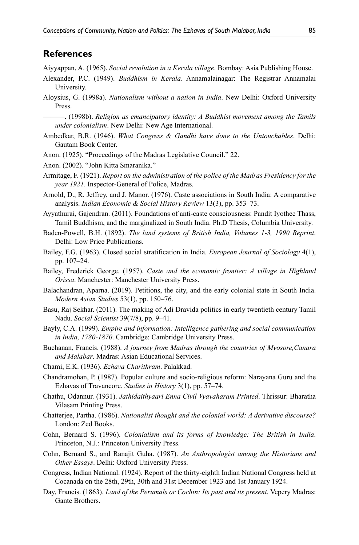#### **References**

Aiyyappan, A. (1965). *Social revolution in a Kerala village*. Bombay: Asia Publishing House.

- Alexander, P.C. (1949). *Buddhism in Kerala*. Annamalainagar: The Registrar Annamalai University.
- Aloysius, G. (1998a). *Nationalism without a nation in India*. New Delhi: Oxford University Press.

 $-$ . (1998b). *Religion as emancipatory identity: A Buddhist movement among the Tamils under colonialism*. New Delhi: New Age International.

- Ambedkar, B.R. (1946). *What Congress & Gandhi have done to the Untouchables*. Delhi: Gautam Book Center.
- Anon. (1925). "Proceedings of the Madras Legislative Council." 22.

Anon. (2002). "John Kitta Smaranika."

- Armitage, F. (1921). *Report on the administration of the police of the Madras Presidency for the year 1921*. Inspector-General of Police, Madras.
- Arnold, D., R. Jeffrey, and J. Manor. (1976). Caste associations in South India: A comparative analysis. *Indian Economic & Social History Review* 13(3), pp. 353–73.
- Ayyathurai, Gajendran. (2011). Foundations of anti-caste consciousness: Pandit Iyothee Thass, Tamil Buddhism, and the marginalized in South India. Ph.D Thesis, Columbia University.
- Baden-Powell, B.H. (1892). *The land systems of British India, Volumes 1-3, 1990 Reprint*. Delhi: Low Price Publications.
- Bailey, F.G. (1963). Closed social stratification in India. *European Journal of Sociology* 4(1), pp. 107–24.
- Bailey, Frederick George. (1957). *Caste and the economic frontier: A village in Highland Orissa*. Manchester: Manchester University Press.
- Balachandran, Aparna. (2019). Petitions, the city, and the early colonial state in South India. *Modern Asian Studies* 53(1), pp. 150–76.
- Basu, Raj Sekhar. (2011). The making of Adi Dravida politics in early twentieth century Tamil Nadu. *Social Scientist* 39(7/8), pp. 9–41.
- Bayly, C.A. (1999). *Empire and information: Intelligence gathering and social communication in India, 1780-1870*. Cambridge: Cambridge University Press.
- Buchanan, Francis. (1988). *A journey from Madras through the countries of Myosore,Canara and Malabar*. Madras: Asian Educational Services.
- Chami, E.K. (1936). *Ezhava Charithram*. Palakkad.
- Chandramohan, P. (1987). Popular culture and socio-religious reform: Narayana Guru and the Ezhavas of Travancore. *Studies in History* 3(1), pp. 57–74.
- Chathu, Odannur. (1931). *Jathidaithyaari Enna Civil Vyavaharam Printed*. Thrissur: Bharatha Vilasam Printing Press.
- Chatterjee, Partha. (1986). *Nationalist thought and the colonial world: A derivative discourse?* London: Zed Books.
- Cohn, Bernard S. (1996). *Colonialism and its forms of knowledge: The British in India*. Princeton, N.J.: Princeton University Press.
- Cohn, Bernard S., and Ranajit Guha. (1987). *An Anthropologist among the Historians and Other Essays*. Delhi: Oxford University Press.
- Congress, Indian National. (1924). Report of the thirty-eighth Indian National Congress held at Cocanada on the 28th, 29th, 30th and 31st December 1923 and 1st January 1924.
- Day, Francis. (1863). *Land of the Perumals or Cochin: Its past and its present*. Vepery Madras: Gante Brothers.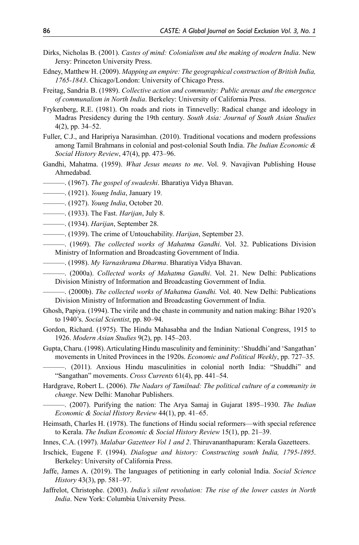- Dirks, Nicholas B. (2001). *Castes of mind: Colonialism and the making of modern India*. New Jersy: Princeton University Press.
- Edney, Matthew H. (2009). *Mapping an empire: The geographical construction of British India, 1765-1843*. Chicago/London: University of Chicago Press.
- Freitag, Sandria B. (1989). *Collective action and community: Public arenas and the emergence of communalism in North India*. Berkeley: University of California Press.
- Frykenberg, R.E. (1981). On roads and riots in Tinnevelly: Radical change and ideology in Madras Presidency during the 19th century. *South Asia: Journal of South Asian Studies* 4(2), pp. 34–52.
- Fuller, C.J., and Haripriya Narasimhan. (2010). Traditional vocations and modern professions among Tamil Brahmans in colonial and post-colonial South India. *The Indian Economic & Social History Review*, 47(4), pp. 473–96.
- Gandhi, Mahatma. (1959). *What Jesus means to me*. Vol. 9. Navajivan Publishing House Ahmedabad.
- ———. (1967). *The gospel of swadeshi*. Bharatiya Vidya Bhavan.
- ———. (1921). *Young India*, January 19.
- ———. (1927). *Young India*, October 20.
- ———. (1933). The Fast. *Harijan*, July 8.
- ———. (1934). *Harijan*, September 28.
- ———. (1939). The crime of Untouchability. *Harijan*, September 23.
- ———. (1969). *The collected works of Mahatma Gandhi*. Vol. 32. Publications Division Ministry of Information and Broadcasting Government of India.
- ———. (1998). *My Varnashrama Dharma*. Bharatiya Vidya Bhavan.
- ———. (2000a). *Collected works of Mahatma Gandhi*. Vol. 21. New Delhi: Publications Division Ministry of Information and Broadcasting Government of India.
- ———. (2000b). *The collected works of Mahatma Gandhi.* Vol. 40. New Delhi: Publications Division Ministry of Information and Broadcasting Government of India.
- Ghosh, Papiya. (1994). The virile and the chaste in community and nation making: Bihar 1920's to 1940's. *Social Scientist*, pp. 80–94.
- Gordon, Richard. (1975). The Hindu Mahasabha and the Indian National Congress, 1915 to 1926. *Modern Asian Studies* 9(2), pp. 145–203.
- Gupta, Charu. (1998). Articulating Hindu masculinity and femininity: 'Shuddhi'and 'Sangathan' movements in United Provinces in the 1920s. *Economic and Political Weekly*, pp. 727–35.
- ———. (2011). Anxious Hindu masculinities in colonial north India: "Shuddhi" and "Sangathan" movements. *Cross Currents* 61(4), pp. 441–54.
- Hardgrave, Robert L. (2006). *The Nadars of Tamilnad: The political culture of a community in change*. New Delhi: Manohar Publishers.
	- ———. (2007). Purifying the nation: The Arya Samaj in Gujarat 1895–1930. *The Indian Economic & Social History Review* 44(1), pp. 41–65.
- Heimsath, Charles H. (1978). The functions of Hindu social reformers—with special reference to Kerala. *The Indian Economic & Social History Review* 15(1), pp. 21–39.
- Innes, C.A. (1997). *Malabar Gazetteer Vol 1 and 2*. Thiruvananthapuram: Kerala Gazetteers.
- Irschick, Eugene F. (1994). *Dialogue and history: Constructing south India, 1795-1895*. Berkeley: University of California Press.
- Jaffe, James A. (2019). The languages of petitioning in early colonial India. *Social Science History* 43(3), pp. 581–97.
- Jaffrelot, Christophe. (2003). *India's silent revolution: The rise of the lower castes in North India*. New York: Columbia University Press.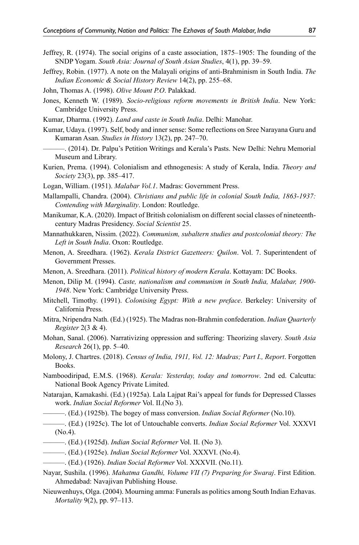- Jeffrey, R. (1974). The social origins of a caste association, 1875–1905: The founding of the SNDP Yogam. *South Asia: Journal of South Asian Studies*, 4(1), pp. 39–59.
- Jeffrey, Robin. (1977). A note on the Malayali origins of anti-Brahminism in South India. *The Indian Economic & Social History Review* 14(2), pp. 255–68.
- John, Thomas A. (1998). *Olive Mount P.O*. Palakkad.
- Jones, Kenneth W. (1989). *Socio-religious reform movements in British India*. New York: Cambridge University Press.
- Kumar, Dharma. (1992). *Land and caste in South India*. Delhi: Manohar.
- Kumar, Udaya. (1997). Self, body and inner sense: Some reflections on Sree Narayana Guru and Kumaran Asan. *Studies in History* 13(2), pp. 247–70.
- ———. (2014). Dr. Palpu's Petition Writings and Kerala's Pasts. New Delhi: Nehru Memorial Museum and Library.
- Kurien, Prema. (1994). Colonialism and ethnogenesis: A study of Kerala, India. *Theory and Society* 23(3), pp. 385–417.
- Logan, William. (1951). *Malabar Vol.1*. Madras: Government Press.
- Mallampalli, Chandra. (2004). *Christians and public life in colonial South India, 1863-1937: Contending with Marginality*. London: Routledge.
- Manikumar, K.A. (2020). Impact of British colonialism on different social classes of nineteenthcentury Madras Presidency. *Social Scientist* 25.
- Mannathukkaren, Nissim. (2022). *Communism, subaltern studies and postcolonial theory: The Left in South India*. Oxon: Routledge.
- Menon, A. Sreedhara. (1962). *Kerala District Gazetteers: Quilon*. Vol. 7. Superintendent of Government Presses.
- Menon, A. Sreedhara. (2011). *Political history of modern Kerala*. Kottayam: DC Books.
- Menon, Dilip M. (1994). *Caste, nationalism and communism in South India, Malabar, 1900- 1948*. New York: Cambridge University Press.
- Mitchell, Timothy. (1991). *Colonising Egypt: With a new preface*. Berkeley: University of California Press.
- Mitra, Nripendra Nath. (Ed.) (1925). The Madras non-Brahmin confederation. *Indian Quarterly Register* 2(3 & 4).
- Mohan, Sanal. (2006). Narrativizing oppression and suffering: Theorizing slavery. *South Asia Research* 26(1), pp. 5–40.
- Molony, J. Chartres. (2018). *Census of India, 1911, Vol. 12: Madras; Part I., Report*. Forgotten Books.
- Namboodiripad, E.M.S. (1968). *Kerala: Yesterday, today and tomorrow*. 2nd ed. Calcutta: National Book Agency Private Limited.
- Natarajan, Kamakashi. (Ed.) (1925a). Lala Lajpat Rai's appeal for funds for Depressed Classes work. *Indian Social Reformer* Vol. II.(No 3).
	- ———. (Ed.) (1925b). The bogey of mass conversion. *Indian Social Reformer* (No.10).
- ———. (Ed.) (1925c). The lot of Untouchable converts. *Indian Social Reformer* Vol. XXXVI (No.4).
- ———. (Ed.) (1925d). *Indian Social Reformer* Vol. II. (No 3).
- ———. (Ed.) (1925e). *Indian Social Reformer* Vol. XXXVI. (No.4).
- ———. (Ed.) (1926). *Indian Social Reformer* Vol. XXXVII. (No.11).
- Nayar, Sushila. (1996). *Mahatma Gandhi, Volume VII (7) Preparing for Swaraj*. First Edition. Ahmedabad: Navajivan Publishing House.
- Nieuwenhuys, Olga. (2004). Mourning amma: Funerals as politics among South Indian Ezhavas. *Mortality* 9(2), pp. 97–113.